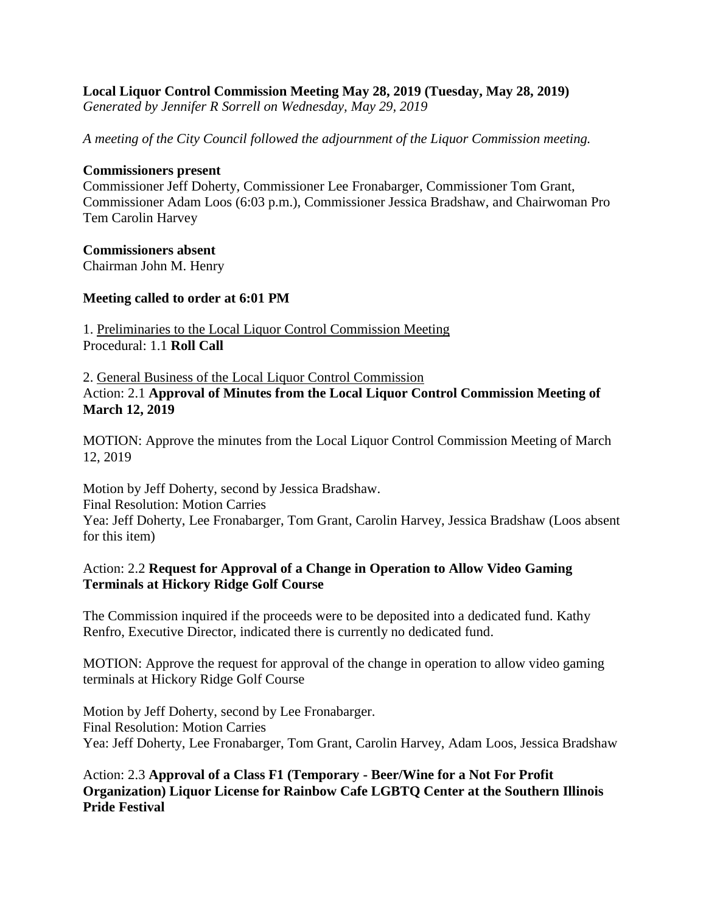#### **Local Liquor Control Commission Meeting May 28, 2019 (Tuesday, May 28, 2019)** *Generated by Jennifer R Sorrell on Wednesday, May 29, 2019*

*A meeting of the City Council followed the adjournment of the Liquor Commission meeting.*

#### **Commissioners present**

Commissioner Jeff Doherty, Commissioner Lee Fronabarger, Commissioner Tom Grant, Commissioner Adam Loos (6:03 p.m.), Commissioner Jessica Bradshaw, and Chairwoman Pro Tem Carolin Harvey

### **Commissioners absent**

Chairman John M. Henry

### **Meeting called to order at 6:01 PM**

1. Preliminaries to the Local Liquor Control Commission Meeting Procedural: 1.1 **Roll Call**

### 2. General Business of the Local Liquor Control Commission Action: 2.1 **Approval of Minutes from the Local Liquor Control Commission Meeting of March 12, 2019**

MOTION: Approve the minutes from the Local Liquor Control Commission Meeting of March 12, 2019

Motion by Jeff Doherty, second by Jessica Bradshaw. Final Resolution: Motion Carries Yea: Jeff Doherty, Lee Fronabarger, Tom Grant, Carolin Harvey, Jessica Bradshaw (Loos absent for this item)

# Action: 2.2 **Request for Approval of a Change in Operation to Allow Video Gaming Terminals at Hickory Ridge Golf Course**

The Commission inquired if the proceeds were to be deposited into a dedicated fund. Kathy Renfro, Executive Director, indicated there is currently no dedicated fund.

MOTION: Approve the request for approval of the change in operation to allow video gaming terminals at Hickory Ridge Golf Course

Motion by Jeff Doherty, second by Lee Fronabarger. Final Resolution: Motion Carries Yea: Jeff Doherty, Lee Fronabarger, Tom Grant, Carolin Harvey, Adam Loos, Jessica Bradshaw

# Action: 2.3 **Approval of a Class F1 (Temporary - Beer/Wine for a Not For Profit Organization) Liquor License for Rainbow Cafe LGBTQ Center at the Southern Illinois Pride Festival**